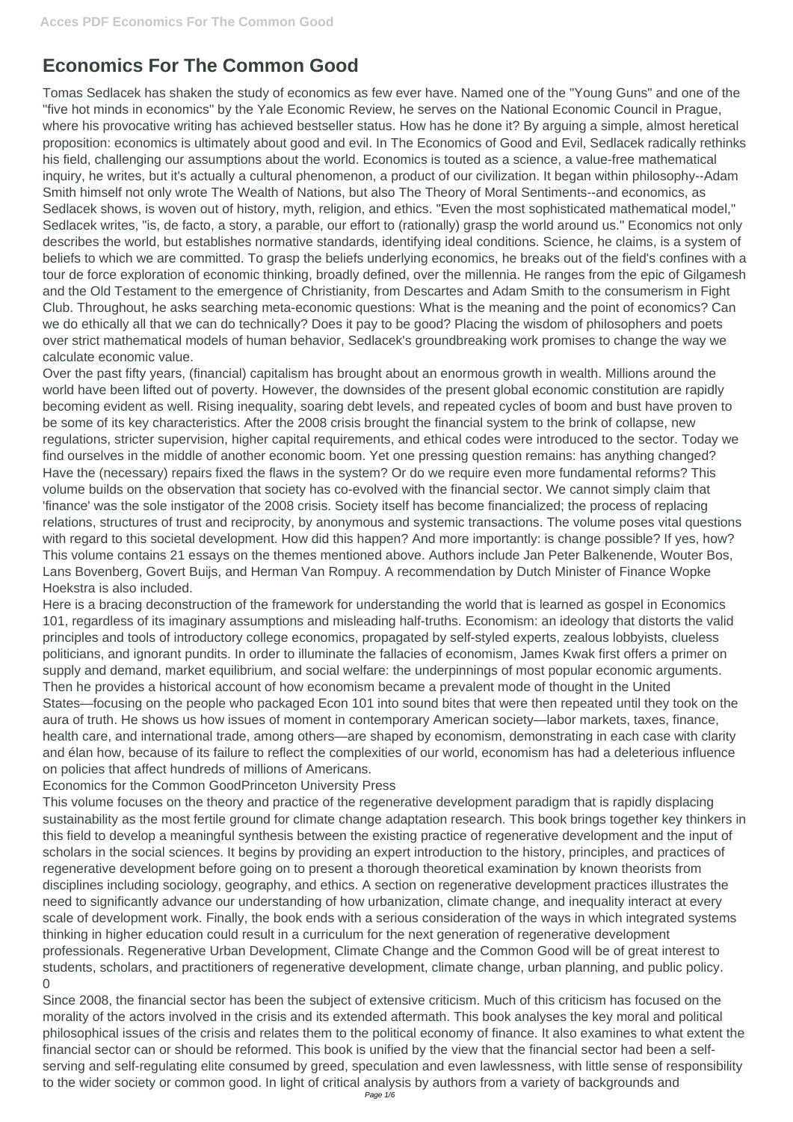## **Economics For The Common Good**

Tomas Sedlacek has shaken the study of economics as few ever have. Named one of the "Young Guns" and one of the "five hot minds in economics" by the Yale Economic Review, he serves on the National Economic Council in Prague, where his provocative writing has achieved bestseller status. How has he done it? By arguing a simple, almost heretical proposition: economics is ultimately about good and evil. In The Economics of Good and Evil, Sedlacek radically rethinks his field, challenging our assumptions about the world. Economics is touted as a science, a value-free mathematical inquiry, he writes, but it's actually a cultural phenomenon, a product of our civilization. It began within philosophy--Adam Smith himself not only wrote The Wealth of Nations, but also The Theory of Moral Sentiments--and economics, as Sedlacek shows, is woven out of history, myth, religion, and ethics. "Even the most sophisticated mathematical model," Sedlacek writes, "is, de facto, a story, a parable, our effort to (rationally) grasp the world around us." Economics not only describes the world, but establishes normative standards, identifying ideal conditions. Science, he claims, is a system of beliefs to which we are committed. To grasp the beliefs underlying economics, he breaks out of the field's confines with a tour de force exploration of economic thinking, broadly defined, over the millennia. He ranges from the epic of Gilgamesh and the Old Testament to the emergence of Christianity, from Descartes and Adam Smith to the consumerism in Fight Club. Throughout, he asks searching meta-economic questions: What is the meaning and the point of economics? Can we do ethically all that we can do technically? Does it pay to be good? Placing the wisdom of philosophers and poets over strict mathematical models of human behavior, Sedlacek's groundbreaking work promises to change the way we calculate economic value.

Over the past fifty years, (financial) capitalism has brought about an enormous growth in wealth. Millions around the world have been lifted out of poverty. However, the downsides of the present global economic constitution are rapidly becoming evident as well. Rising inequality, soaring debt levels, and repeated cycles of boom and bust have proven to be some of its key characteristics. After the 2008 crisis brought the financial system to the brink of collapse, new regulations, stricter supervision, higher capital requirements, and ethical codes were introduced to the sector. Today we find ourselves in the middle of another economic boom. Yet one pressing question remains: has anything changed? Have the (necessary) repairs fixed the flaws in the system? Or do we require even more fundamental reforms? This volume builds on the observation that society has co-evolved with the financial sector. We cannot simply claim that 'finance' was the sole instigator of the 2008 crisis. Society itself has become financialized; the process of replacing relations, structures of trust and reciprocity, by anonymous and systemic transactions. The volume poses vital questions with regard to this societal development. How did this happen? And more importantly: is change possible? If yes, how? This volume contains 21 essays on the themes mentioned above. Authors include Jan Peter Balkenende, Wouter Bos, Lans Bovenberg, Govert Buijs, and Herman Van Rompuy. A recommendation by Dutch Minister of Finance Wopke Hoekstra is also included.

Here is a bracing deconstruction of the framework for understanding the world that is learned as gospel in Economics 101, regardless of its imaginary assumptions and misleading half-truths. Economism: an ideology that distorts the valid principles and tools of introductory college economics, propagated by self-styled experts, zealous lobbyists, clueless politicians, and ignorant pundits. In order to illuminate the fallacies of economism, James Kwak first offers a primer on supply and demand, market equilibrium, and social welfare: the underpinnings of most popular economic arguments. Then he provides a historical account of how economism became a prevalent mode of thought in the United States—focusing on the people who packaged Econ 101 into sound bites that were then repeated until they took on the aura of truth. He shows us how issues of moment in contemporary American society—labor markets, taxes, finance, health care, and international trade, among others—are shaped by economism, demonstrating in each case with clarity and élan how, because of its failure to reflect the complexities of our world, economism has had a deleterious influence on policies that affect hundreds of millions of Americans.

Economics for the Common GoodPrinceton University Press

This volume focuses on the theory and practice of the regenerative development paradigm that is rapidly displacing sustainability as the most fertile ground for climate change adaptation research. This book brings together key thinkers in this field to develop a meaningful synthesis between the existing practice of regenerative development and the input of scholars in the social sciences. It begins by providing an expert introduction to the history, principles, and practices of regenerative development before going on to present a thorough theoretical examination by known theorists from disciplines including sociology, geography, and ethics. A section on regenerative development practices illustrates the need to significantly advance our understanding of how urbanization, climate change, and inequality interact at every scale of development work. Finally, the book ends with a serious consideration of the ways in which integrated systems thinking in higher education could result in a curriculum for the next generation of regenerative development professionals. Regenerative Urban Development, Climate Change and the Common Good will be of great interest to students, scholars, and practitioners of regenerative development, climate change, urban planning, and public policy. 0 Since 2008, the financial sector has been the subject of extensive criticism. Much of this criticism has focused on the morality of the actors involved in the crisis and its extended aftermath. This book analyses the key moral and political philosophical issues of the crisis and relates them to the political economy of finance. It also examines to what extent the financial sector can or should be reformed. This book is unified by the view that the financial sector had been a selfserving and self-regulating elite consumed by greed, speculation and even lawlessness, with little sense of responsibility to the wider society or common good. In light of critical analysis by authors from a variety of backgrounds and Page 1/6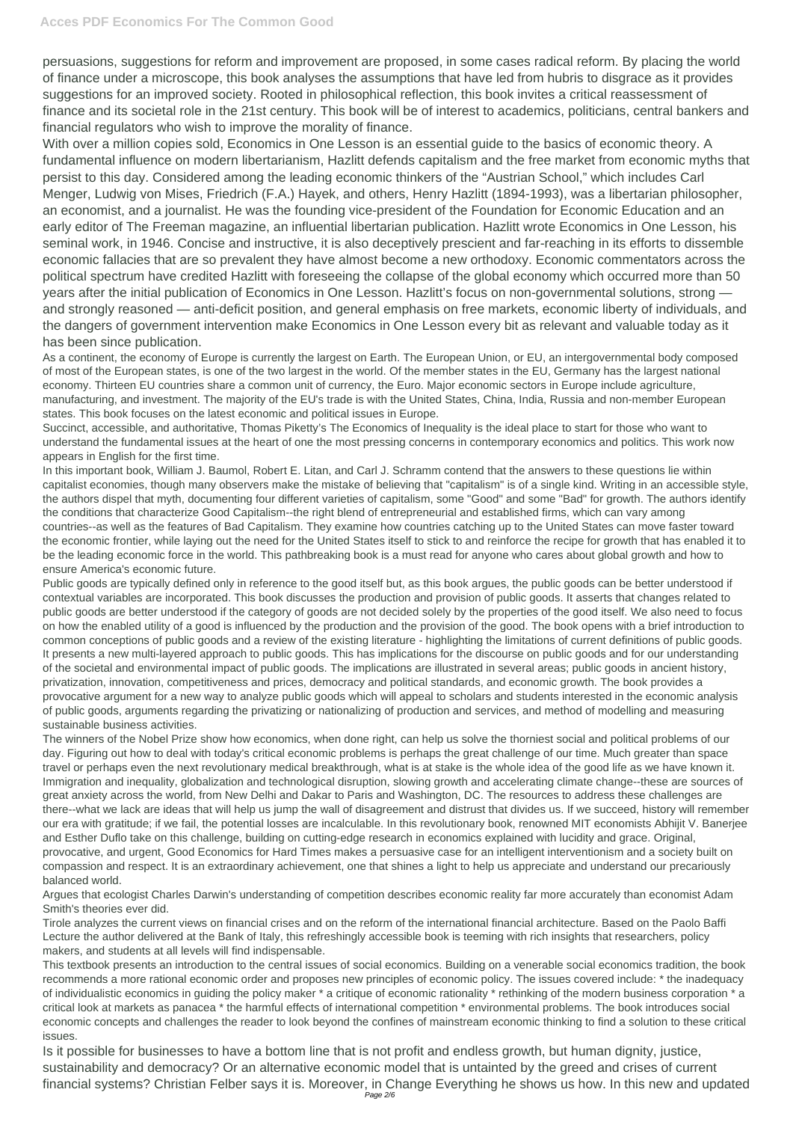## **Acces PDF Economics For The Common Good**

persuasions, suggestions for reform and improvement are proposed, in some cases radical reform. By placing the world of finance under a microscope, this book analyses the assumptions that have led from hubris to disgrace as it provides suggestions for an improved society. Rooted in philosophical reflection, this book invites a critical reassessment of finance and its societal role in the 21st century. This book will be of interest to academics, politicians, central bankers and financial regulators who wish to improve the morality of finance.

With over a million copies sold, Economics in One Lesson is an essential guide to the basics of economic theory. A fundamental influence on modern libertarianism, Hazlitt defends capitalism and the free market from economic myths that persist to this day. Considered among the leading economic thinkers of the "Austrian School," which includes Carl Menger, Ludwig von Mises, Friedrich (F.A.) Hayek, and others, Henry Hazlitt (1894-1993), was a libertarian philosopher, an economist, and a journalist. He was the founding vice-president of the Foundation for Economic Education and an early editor of The Freeman magazine, an influential libertarian publication. Hazlitt wrote Economics in One Lesson, his seminal work, in 1946. Concise and instructive, it is also deceptively prescient and far-reaching in its efforts to dissemble economic fallacies that are so prevalent they have almost become a new orthodoxy. Economic commentators across the political spectrum have credited Hazlitt with foreseeing the collapse of the global economy which occurred more than 50 years after the initial publication of Economics in One Lesson. Hazlitt's focus on non-governmental solutions, strong and strongly reasoned — anti-deficit position, and general emphasis on free markets, economic liberty of individuals, and the dangers of government intervention make Economics in One Lesson every bit as relevant and valuable today as it has been since publication.

As a continent, the economy of Europe is currently the largest on Earth. The European Union, or EU, an intergovernmental body composed of most of the European states, is one of the two largest in the world. Of the member states in the EU, Germany has the largest national economy. Thirteen EU countries share a common unit of currency, the Euro. Major economic sectors in Europe include agriculture, manufacturing, and investment. The majority of the EU's trade is with the United States, China, India, Russia and non-member European states. This book focuses on the latest economic and political issues in Europe.

Succinct, accessible, and authoritative, Thomas Piketty's The Economics of Inequality is the ideal place to start for those who want to understand the fundamental issues at the heart of one the most pressing concerns in contemporary economics and politics. This work now appears in English for the first time.

In this important book, William J. Baumol, Robert E. Litan, and Carl J. Schramm contend that the answers to these questions lie within capitalist economies, though many observers make the mistake of believing that "capitalism" is of a single kind. Writing in an accessible style, the authors dispel that myth, documenting four different varieties of capitalism, some "Good" and some "Bad" for growth. The authors identify the conditions that characterize Good Capitalism--the right blend of entrepreneurial and established firms, which can vary among countries--as well as the features of Bad Capitalism. They examine how countries catching up to the United States can move faster toward the economic frontier, while laying out the need for the United States itself to stick to and reinforce the recipe for growth that has enabled it to be the leading economic force in the world. This pathbreaking book is a must read for anyone who cares about global growth and how to ensure America's economic future.

Public goods are typically defined only in reference to the good itself but, as this book argues, the public goods can be better understood if contextual variables are incorporated. This book discusses the production and provision of public goods. It asserts that changes related to public goods are better understood if the category of goods are not decided solely by the properties of the good itself. We also need to focus on how the enabled utility of a good is influenced by the production and the provision of the good. The book opens with a brief introduction to common conceptions of public goods and a review of the existing literature - highlighting the limitations of current definitions of public goods. It presents a new multi-layered approach to public goods. This has implications for the discourse on public goods and for our understanding of the societal and environmental impact of public goods. The implications are illustrated in several areas; public goods in ancient history, privatization, innovation, competitiveness and prices, democracy and political standards, and economic growth. The book provides a provocative argument for a new way to analyze public goods which will appeal to scholars and students interested in the economic analysis of public goods, arguments regarding the privatizing or nationalizing of production and services, and method of modelling and measuring sustainable business activities.

The winners of the Nobel Prize show how economics, when done right, can help us solve the thorniest social and political problems of our day. Figuring out how to deal with today's critical economic problems is perhaps the great challenge of our time. Much greater than space travel or perhaps even the next revolutionary medical breakthrough, what is at stake is the whole idea of the good life as we have known it. Immigration and inequality, globalization and technological disruption, slowing growth and accelerating climate change--these are sources of great anxiety across the world, from New Delhi and Dakar to Paris and Washington, DC. The resources to address these challenges are there--what we lack are ideas that will help us jump the wall of disagreement and distrust that divides us. If we succeed, history will remember our era with gratitude; if we fail, the potential losses are incalculable. In this revolutionary book, renowned MIT economists Abhijit V. Banerjee and Esther Duflo take on this challenge, building on cutting-edge research in economics explained with lucidity and grace. Original,

provocative, and urgent, Good Economics for Hard Times makes a persuasive case for an intelligent interventionism and a society built on compassion and respect. It is an extraordinary achievement, one that shines a light to help us appreciate and understand our precariously balanced world.

Argues that ecologist Charles Darwin's understanding of competition describes economic reality far more accurately than economist Adam Smith's theories ever did.

Tirole analyzes the current views on financial crises and on the reform of the international financial architecture. Based on the Paolo Baffi Lecture the author delivered at the Bank of Italy, this refreshingly accessible book is teeming with rich insights that researchers, policy makers, and students at all levels will find indispensable.

This textbook presents an introduction to the central issues of social economics. Building on a venerable social economics tradition, the book recommends a more rational economic order and proposes new principles of economic policy. The issues covered include: \* the inadequacy of individualistic economics in guiding the policy maker \* a critique of economic rationality \* rethinking of the modern business corporation \* a critical look at markets as panacea \* the harmful effects of international competition \* environmental problems. The book introduces social economic concepts and challenges the reader to look beyond the confines of mainstream economic thinking to find a solution to these critical issues.

Is it possible for businesses to have a bottom line that is not profit and endless growth, but human dignity, justice, sustainability and democracy? Or an alternative economic model that is untainted by the greed and crises of current financial systems? Christian Felber says it is. Moreover, in Change Everything he shows us how. In this new and updated Page 2/6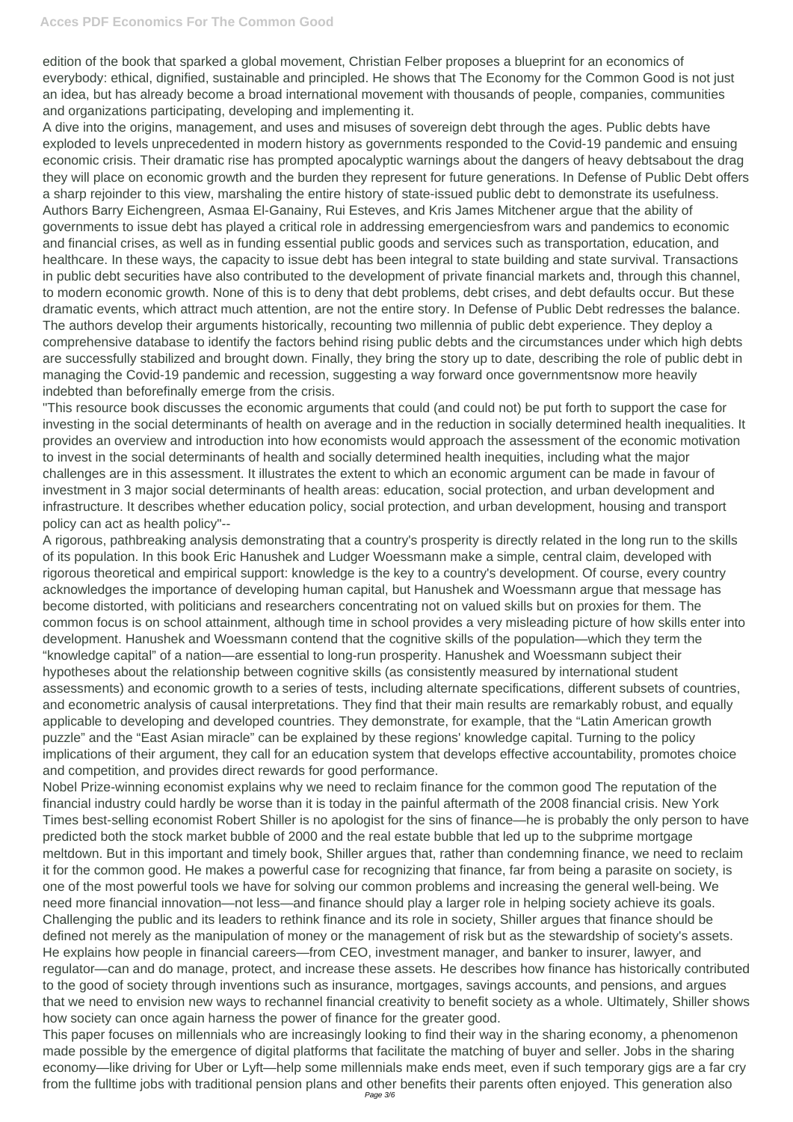edition of the book that sparked a global movement, Christian Felber proposes a blueprint for an economics of everybody: ethical, dignified, sustainable and principled. He shows that The Economy for the Common Good is not just an idea, but has already become a broad international movement with thousands of people, companies, communities and organizations participating, developing and implementing it.

A dive into the origins, management, and uses and misuses of sovereign debt through the ages. Public debts have exploded to levels unprecedented in modern history as governments responded to the Covid-19 pandemic and ensuing economic crisis. Their dramatic rise has prompted apocalyptic warnings about the dangers of heavy debtsabout the drag they will place on economic growth and the burden they represent for future generations. In Defense of Public Debt offers a sharp rejoinder to this view, marshaling the entire history of state-issued public debt to demonstrate its usefulness. Authors Barry Eichengreen, Asmaa El-Ganainy, Rui Esteves, and Kris James Mitchener argue that the ability of governments to issue debt has played a critical role in addressing emergenciesfrom wars and pandemics to economic and financial crises, as well as in funding essential public goods and services such as transportation, education, and healthcare. In these ways, the capacity to issue debt has been integral to state building and state survival. Transactions in public debt securities have also contributed to the development of private financial markets and, through this channel, to modern economic growth. None of this is to deny that debt problems, debt crises, and debt defaults occur. But these dramatic events, which attract much attention, are not the entire story. In Defense of Public Debt redresses the balance. The authors develop their arguments historically, recounting two millennia of public debt experience. They deploy a comprehensive database to identify the factors behind rising public debts and the circumstances under which high debts are successfully stabilized and brought down. Finally, they bring the story up to date, describing the role of public debt in managing the Covid-19 pandemic and recession, suggesting a way forward once governmentsnow more heavily indebted than beforefinally emerge from the crisis.

"This resource book discusses the economic arguments that could (and could not) be put forth to support the case for investing in the social determinants of health on average and in the reduction in socially determined health inequalities. It provides an overview and introduction into how economists would approach the assessment of the economic motivation to invest in the social determinants of health and socially determined health inequities, including what the major challenges are in this assessment. It illustrates the extent to which an economic argument can be made in favour of investment in 3 major social determinants of health areas: education, social protection, and urban development and infrastructure. It describes whether education policy, social protection, and urban development, housing and transport policy can act as health policy"--

A rigorous, pathbreaking analysis demonstrating that a country's prosperity is directly related in the long run to the skills of its population. In this book Eric Hanushek and Ludger Woessmann make a simple, central claim, developed with rigorous theoretical and empirical support: knowledge is the key to a country's development. Of course, every country acknowledges the importance of developing human capital, but Hanushek and Woessmann argue that message has become distorted, with politicians and researchers concentrating not on valued skills but on proxies for them. The common focus is on school attainment, although time in school provides a very misleading picture of how skills enter into development. Hanushek and Woessmann contend that the cognitive skills of the population—which they term the "knowledge capital" of a nation—are essential to long-run prosperity. Hanushek and Woessmann subject their hypotheses about the relationship between cognitive skills (as consistently measured by international student assessments) and economic growth to a series of tests, including alternate specifications, different subsets of countries, and econometric analysis of causal interpretations. They find that their main results are remarkably robust, and equally applicable to developing and developed countries. They demonstrate, for example, that the "Latin American growth puzzle" and the "East Asian miracle" can be explained by these regions' knowledge capital. Turning to the policy implications of their argument, they call for an education system that develops effective accountability, promotes choice and competition, and provides direct rewards for good performance.

Nobel Prize-winning economist explains why we need to reclaim finance for the common good The reputation of the financial industry could hardly be worse than it is today in the painful aftermath of the 2008 financial crisis. New York Times best-selling economist Robert Shiller is no apologist for the sins of finance—he is probably the only person to have predicted both the stock market bubble of 2000 and the real estate bubble that led up to the subprime mortgage meltdown. But in this important and timely book, Shiller argues that, rather than condemning finance, we need to reclaim it for the common good. He makes a powerful case for recognizing that finance, far from being a parasite on society, is one of the most powerful tools we have for solving our common problems and increasing the general well-being. We need more financial innovation—not less—and finance should play a larger role in helping society achieve its goals. Challenging the public and its leaders to rethink finance and its role in society, Shiller argues that finance should be defined not merely as the manipulation of money or the management of risk but as the stewardship of society's assets. He explains how people in financial careers—from CEO, investment manager, and banker to insurer, lawyer, and regulator—can and do manage, protect, and increase these assets. He describes how finance has historically contributed to the good of society through inventions such as insurance, mortgages, savings accounts, and pensions, and argues that we need to envision new ways to rechannel financial creativity to benefit society as a whole. Ultimately, Shiller shows how society can once again harness the power of finance for the greater good. This paper focuses on millennials who are increasingly looking to find their way in the sharing economy, a phenomenon made possible by the emergence of digital platforms that facilitate the matching of buyer and seller. Jobs in the sharing economy—like driving for Uber or Lyft—help some millennials make ends meet, even if such temporary gigs are a far cry from the fulltime jobs with traditional pension plans and other benefits their parents often enjoyed. This generation also Page 3/6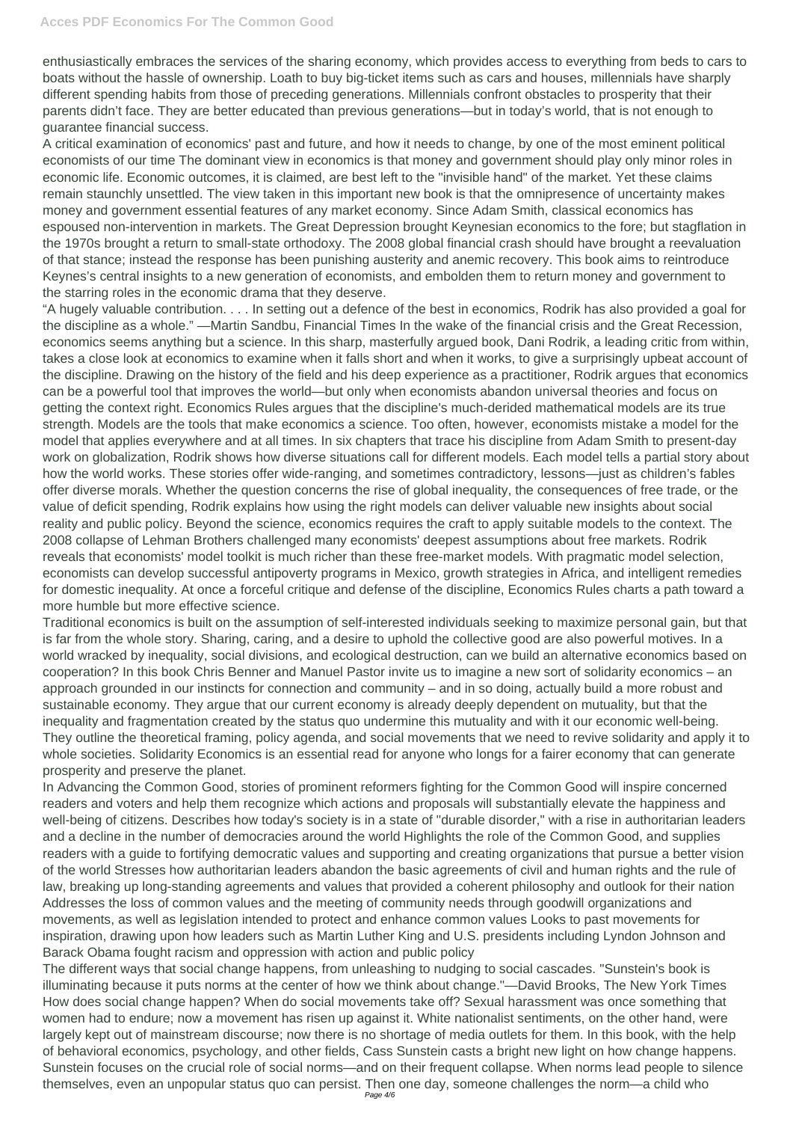enthusiastically embraces the services of the sharing economy, which provides access to everything from beds to cars to boats without the hassle of ownership. Loath to buy big-ticket items such as cars and houses, millennials have sharply different spending habits from those of preceding generations. Millennials confront obstacles to prosperity that their parents didn't face. They are better educated than previous generations—but in today's world, that is not enough to guarantee financial success.

A critical examination of economics' past and future, and how it needs to change, by one of the most eminent political economists of our time The dominant view in economics is that money and government should play only minor roles in economic life. Economic outcomes, it is claimed, are best left to the "invisible hand" of the market. Yet these claims remain staunchly unsettled. The view taken in this important new book is that the omnipresence of uncertainty makes money and government essential features of any market economy. Since Adam Smith, classical economics has espoused non-intervention in markets. The Great Depression brought Keynesian economics to the fore; but stagflation in the 1970s brought a return to small-state orthodoxy. The 2008 global financial crash should have brought a reevaluation of that stance; instead the response has been punishing austerity and anemic recovery. This book aims to reintroduce Keynes's central insights to a new generation of economists, and embolden them to return money and government to the starring roles in the economic drama that they deserve.

"A hugely valuable contribution. . . . In setting out a defence of the best in economics, Rodrik has also provided a goal for the discipline as a whole." —Martin Sandbu, Financial Times In the wake of the financial crisis and the Great Recession, economics seems anything but a science. In this sharp, masterfully argued book, Dani Rodrik, a leading critic from within, takes a close look at economics to examine when it falls short and when it works, to give a surprisingly upbeat account of the discipline. Drawing on the history of the field and his deep experience as a practitioner, Rodrik argues that economics can be a powerful tool that improves the world—but only when economists abandon universal theories and focus on getting the context right. Economics Rules argues that the discipline's much-derided mathematical models are its true strength. Models are the tools that make economics a science. Too often, however, economists mistake a model for the model that applies everywhere and at all times. In six chapters that trace his discipline from Adam Smith to present-day work on globalization, Rodrik shows how diverse situations call for different models. Each model tells a partial story about how the world works. These stories offer wide-ranging, and sometimes contradictory, lessons—just as children's fables offer diverse morals. Whether the question concerns the rise of global inequality, the consequences of free trade, or the value of deficit spending, Rodrik explains how using the right models can deliver valuable new insights about social reality and public policy. Beyond the science, economics requires the craft to apply suitable models to the context. The 2008 collapse of Lehman Brothers challenged many economists' deepest assumptions about free markets. Rodrik reveals that economists' model toolkit is much richer than these free-market models. With pragmatic model selection, economists can develop successful antipoverty programs in Mexico, growth strategies in Africa, and intelligent remedies for domestic inequality. At once a forceful critique and defense of the discipline, Economics Rules charts a path toward a more humble but more effective science.

Traditional economics is built on the assumption of self-interested individuals seeking to maximize personal gain, but that is far from the whole story. Sharing, caring, and a desire to uphold the collective good are also powerful motives. In a world wracked by inequality, social divisions, and ecological destruction, can we build an alternative economics based on cooperation? In this book Chris Benner and Manuel Pastor invite us to imagine a new sort of solidarity economics – an approach grounded in our instincts for connection and community – and in so doing, actually build a more robust and sustainable economy. They argue that our current economy is already deeply dependent on mutuality, but that the inequality and fragmentation created by the status quo undermine this mutuality and with it our economic well-being. They outline the theoretical framing, policy agenda, and social movements that we need to revive solidarity and apply it to whole societies. Solidarity Economics is an essential read for anyone who longs for a fairer economy that can generate prosperity and preserve the planet.

In Advancing the Common Good, stories of prominent reformers fighting for the Common Good will inspire concerned readers and voters and help them recognize which actions and proposals will substantially elevate the happiness and well-being of citizens. Describes how today's society is in a state of "durable disorder," with a rise in authoritarian leaders and a decline in the number of democracies around the world Highlights the role of the Common Good, and supplies

readers with a guide to fortifying democratic values and supporting and creating organizations that pursue a better vision of the world Stresses how authoritarian leaders abandon the basic agreements of civil and human rights and the rule of law, breaking up long-standing agreements and values that provided a coherent philosophy and outlook for their nation Addresses the loss of common values and the meeting of community needs through goodwill organizations and movements, as well as legislation intended to protect and enhance common values Looks to past movements for inspiration, drawing upon how leaders such as Martin Luther King and U.S. presidents including Lyndon Johnson and Barack Obama fought racism and oppression with action and public policy

The different ways that social change happens, from unleashing to nudging to social cascades. "Sunstein's book is illuminating because it puts norms at the center of how we think about change."—David Brooks, The New York Times How does social change happen? When do social movements take off? Sexual harassment was once something that women had to endure; now a movement has risen up against it. White nationalist sentiments, on the other hand, were largely kept out of mainstream discourse; now there is no shortage of media outlets for them. In this book, with the help of behavioral economics, psychology, and other fields, Cass Sunstein casts a bright new light on how change happens. Sunstein focuses on the crucial role of social norms—and on their frequent collapse. When norms lead people to silence themselves, even an unpopular status quo can persist. Then one day, someone challenges the norm—a child who Page 4/6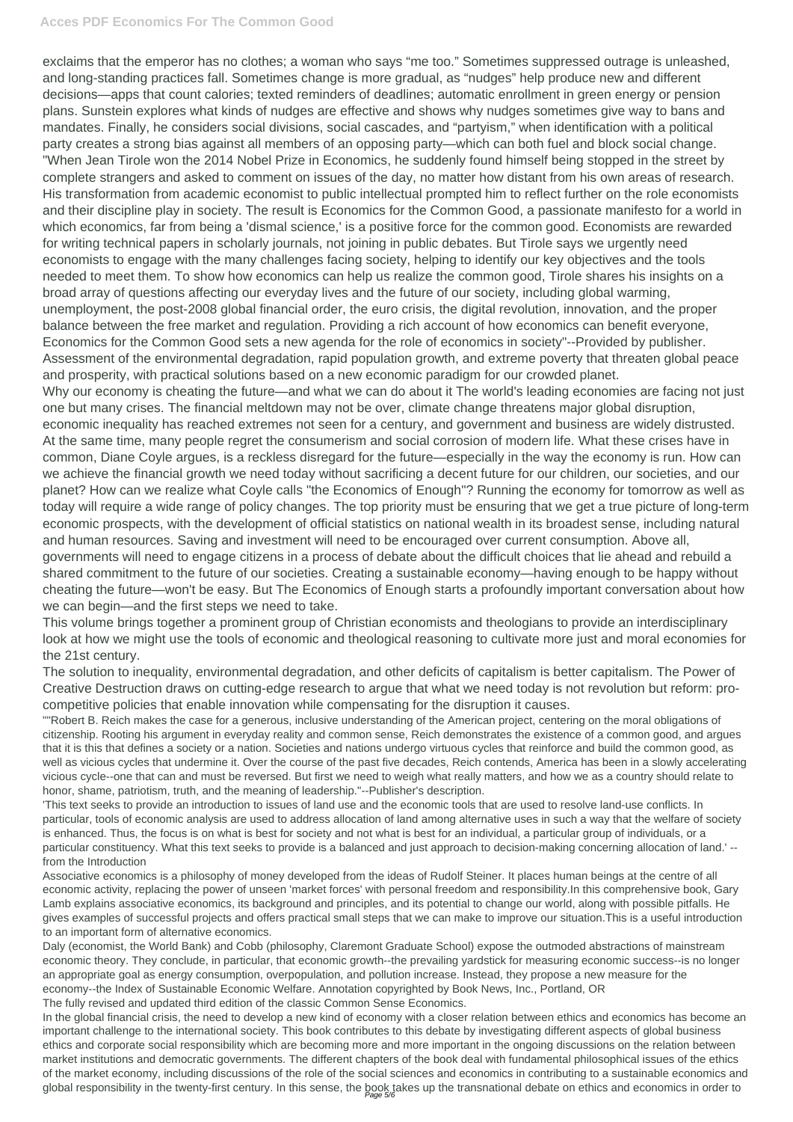## **Acces PDF Economics For The Common Good**

exclaims that the emperor has no clothes; a woman who says "me too." Sometimes suppressed outrage is unleashed, and long-standing practices fall. Sometimes change is more gradual, as "nudges" help produce new and different decisions—apps that count calories; texted reminders of deadlines; automatic enrollment in green energy or pension plans. Sunstein explores what kinds of nudges are effective and shows why nudges sometimes give way to bans and mandates. Finally, he considers social divisions, social cascades, and "partyism," when identification with a political party creates a strong bias against all members of an opposing party—which can both fuel and block social change. "When Jean Tirole won the 2014 Nobel Prize in Economics, he suddenly found himself being stopped in the street by complete strangers and asked to comment on issues of the day, no matter how distant from his own areas of research. His transformation from academic economist to public intellectual prompted him to reflect further on the role economists and their discipline play in society. The result is Economics for the Common Good, a passionate manifesto for a world in which economics, far from being a 'dismal science,' is a positive force for the common good. Economists are rewarded for writing technical papers in scholarly journals, not joining in public debates. But Tirole says we urgently need economists to engage with the many challenges facing society, helping to identify our key objectives and the tools needed to meet them. To show how economics can help us realize the common good, Tirole shares his insights on a broad array of questions affecting our everyday lives and the future of our society, including global warming, unemployment, the post-2008 global financial order, the euro crisis, the digital revolution, innovation, and the proper balance between the free market and regulation. Providing a rich account of how economics can benefit everyone, Economics for the Common Good sets a new agenda for the role of economics in society"--Provided by publisher. Assessment of the environmental degradation, rapid population growth, and extreme poverty that threaten global peace and prosperity, with practical solutions based on a new economic paradigm for our crowded planet. Why our economy is cheating the future—and what we can do about it The world's leading economies are facing not just one but many crises. The financial meltdown may not be over, climate change threatens major global disruption, economic inequality has reached extremes not seen for a century, and government and business are widely distrusted. At the same time, many people regret the consumerism and social corrosion of modern life. What these crises have in common, Diane Coyle argues, is a reckless disregard for the future—especially in the way the economy is run. How can we achieve the financial growth we need today without sacrificing a decent future for our children, our societies, and our planet? How can we realize what Coyle calls "the Economics of Enough"? Running the economy for tomorrow as well as today will require a wide range of policy changes. The top priority must be ensuring that we get a true picture of long-term economic prospects, with the development of official statistics on national wealth in its broadest sense, including natural and human resources. Saving and investment will need to be encouraged over current consumption. Above all, governments will need to engage citizens in a process of debate about the difficult choices that lie ahead and rebuild a

shared commitment to the future of our societies. Creating a sustainable economy—having enough to be happy without cheating the future—won't be easy. But The Economics of Enough starts a profoundly important conversation about how we can begin—and the first steps we need to take.

This volume brings together a prominent group of Christian economists and theologians to provide an interdisciplinary look at how we might use the tools of economic and theological reasoning to cultivate more just and moral economies for the 21st century.

The solution to inequality, environmental degradation, and other deficits of capitalism is better capitalism. The Power of Creative Destruction draws on cutting-edge research to argue that what we need today is not revolution but reform: procompetitive policies that enable innovation while compensating for the disruption it causes.

""Robert B. Reich makes the case for a generous, inclusive understanding of the American project, centering on the moral obligations of citizenship. Rooting his argument in everyday reality and common sense, Reich demonstrates the existence of a common good, and argues that it is this that defines a society or a nation. Societies and nations undergo virtuous cycles that reinforce and build the common good, as well as vicious cycles that undermine it. Over the course of the past five decades, Reich contends, America has been in a slowly accelerating vicious cycle--one that can and must be reversed. But first we need to weigh what really matters, and how we as a country should relate to honor, shame, patriotism, truth, and the meaning of leadership."--Publisher's description.

'This text seeks to provide an introduction to issues of land use and the economic tools that are used to resolve land-use conflicts. In particular, tools of economic analysis are used to address allocation of land among alternative uses in such a way that the welfare of society is enhanced. Thus, the focus is on what is best for society and not what is best for an individual, a particular group of individuals, or a particular constituency. What this text seeks to provide is a balanced and just approach to decision-making concerning allocation of land.' - from the Introduction

Associative economics is a philosophy of money developed from the ideas of Rudolf Steiner. It places human beings at the centre of all economic activity, replacing the power of unseen 'market forces' with personal freedom and responsibility.In this comprehensive book, Gary Lamb explains associative economics, its background and principles, and its potential to change our world, along with possible pitfalls. He gives examples of successful projects and offers practical small steps that we can make to improve our situation.This is a useful introduction to an important form of alternative economics.

Daly (economist, the World Bank) and Cobb (philosophy, Claremont Graduate School) expose the outmoded abstractions of mainstream economic theory. They conclude, in particular, that economic growth--the prevailing yardstick for measuring economic success--is no longer an appropriate goal as energy consumption, overpopulation, and pollution increase. Instead, they propose a new measure for the economy--the Index of Sustainable Economic Welfare. Annotation copyrighted by Book News, Inc., Portland, OR The fully revised and updated third edition of the classic Common Sense Economics.

In the global financial crisis, the need to develop a new kind of economy with a closer relation between ethics and economics has become an important challenge to the international society. This book contributes to this debate by investigating different aspects of global business ethics and corporate social responsibility which are becoming more and more important in the ongoing discussions on the relation between market institutions and democratic governments. The different chapters of the book deal with fundamental philosophical issues of the ethics of the market economy, including discussions of the role of the social sciences and economics in contributing to a sustainable economics and global responsibility in the twenty-first century. In this sense, the book takes up the transnational debate on ethics and economics in order to Page 5/6